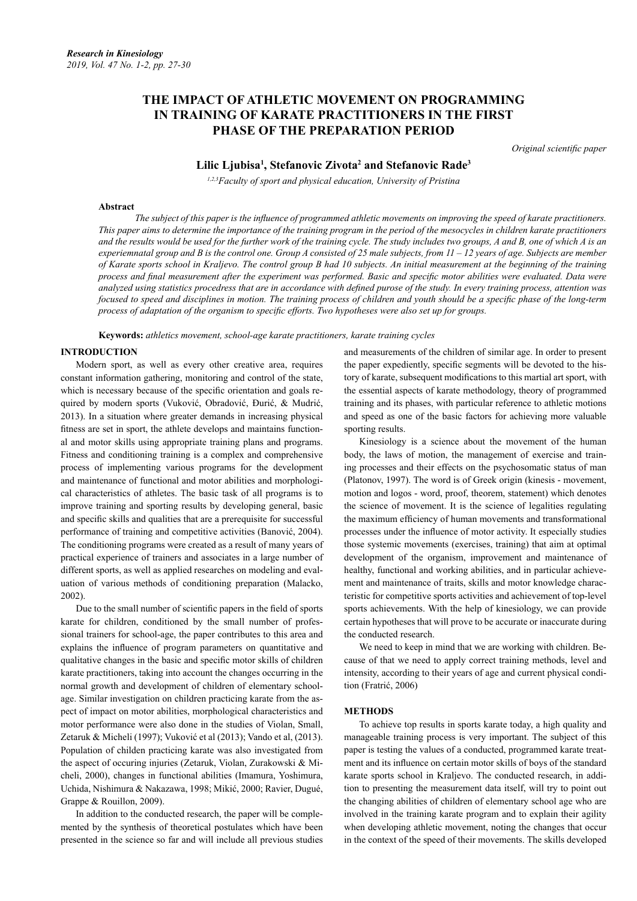## **THE IMPACT OF ATHLETIC MOVEMENT ON PROGRAMMING IN TRAINING OF KARATE PRACTITIONERS IN THE FIRST PHASE OF THE PREPARATION PERIOD**

*Original scientific paper*

### **Lilic Ljubisa1 , Stefanovic Zivota2 and Stefanovic Rade3**

*1,2,3Faculty of sport and physical education, University of Pristina*

#### **Abstract**

*The subject of this paper is the influence of programmed athletic movements on improving the speed of karate practitioners. This paper aims to determine the importance of the training program in the period of the mesocycles in children karate practitioners and the results would be used for the further work of the training cycle. The study includes two groups, A and B, one of which A is an experiemnatal group and B is the control one. Group A consisted of 25 male subjects, from 11 – 12 years of age. Subjects are member of Karate sports school in Kraljevo. The control group B had 10 subjects. An initial measurement at the beginning of the training process and final measurement after the experiment was performed. Basic and specific motor abilities were evaluated. Data were analyzed using statistics procedress that are in accordance with defined purose of the study. In every training process, attention was focused to speed and disciplines in motion. The training process of children and youth should be a specific phase of the long-term process of adaptation of the organism to specific efforts. Two hypotheses were also set up for groups.* 

**Keywords:** *athletics movement, school-age karate practitioners, karate training cycles*

#### **INTRODUCTION**

Modern sport, as well as every other creative area, requires constant information gathering, monitoring and control of the state, which is necessary because of the specific orientation and goals required by modern sports (Vuković, Obradović, Đurić, & Mudrić, 2013). In a situation where greater demands in increasing physical fitness are set in sport, the athlete develops and maintains functional and motor skills using appropriate training plans and programs. Fitness and conditioning training is a complex and comprehensive process of implementing various programs for the development and maintenance of functional and motor abilities and morphological characteristics of athletes. The basic task of all programs is to improve training and sporting results by developing general, basic and specific skills and qualities that are a prerequisite for successful performance of training and competitive activities (Banović, 2004). The conditioning programs were created as a result of many years of practical experience of trainers and associates in a large number of different sports, as well as applied researches on modeling and evaluation of various methods of conditioning preparation (Malacko, 2002).

Due to the small number of scientific papers in the field of sports karate for children, conditioned by the small number of professional trainers for school-age, the paper contributes to this area and explains the influence of program parameters on quantitative and qualitative changes in the basic and specific motor skills of children karate practitioners, taking into account the changes occurring in the normal growth and development of children of elementary schoolage. Similar investigation on children practicing karate from the aspect of impact on motor abilities, morphological characteristics and motor performance were also done in the studies of Violan, Small, Zetaruk & Micheli (1997); Vuković et al (2013); Vando et al, (2013). Population of childen practicing karate was also investigated from the aspect of occuring injuries (Zetaruk, Violan, Zurakowski & Micheli, 2000), changes in functional abilities (Imamura, Yoshimura, Uchida, Nishimura & Nakazawa, 1998; Mikić, 2000; Ravier, Dugué, Grappe & Rouillon, 2009).

In addition to the conducted research, the paper will be complemented by the synthesis of theoretical postulates which have been presented in the science so far and will include all previous studies and measurements of the children of similar age. In order to present the paper expediently, specific segments will be devoted to the history of karate, subsequent modifications to this martial art sport, with the essential aspects of karate methodology, theory of programmed training and its phases, with particular reference to athletic motions and speed as one of the basic factors for achieving more valuable sporting results.

Kinesiology is a science about the movement of the human body, the laws of motion, the management of exercise and training processes and their effects on the psychosomatic status of man (Platonov, 1997). The word is of Greek origin (kinesis - movement, motion and logos - word, proof, theorem, statement) which denotes the science of movement. It is the science of legalities regulating the maximum efficiency of human movements and transformational processes under the influence of motor activity. It especially studies those systemic movements (exercises, training) that aim at optimal development of the organism, improvement and maintenance of healthy, functional and working abilities, and in particular achievement and maintenance of traits, skills and motor knowledge characteristic for competitive sports activities and achievement of top-level sports achievements. With the help of kinesiology, we can provide certain hypotheses that will prove to be accurate or inaccurate during the conducted research.

We need to keep in mind that we are working with children. Because of that we need to apply correct training methods, level and intensity, according to their years of age and current physical condition (Fratrić, 2006)

#### **METHODS**

To achieve top results in sports karate today, a high quality and manageable training process is very important. The subject of this paper is testing the values of a conducted, programmed karate treatment and its influence on certain motor skills of boys of the standard karate sports school in Kraljevo. The conducted research, in addition to presenting the measurement data itself, will try to point out the changing abilities of children of elementary school age who are involved in the training karate program and to explain their agility when developing athletic movement, noting the changes that occur in the context of the speed of their movements. The skills developed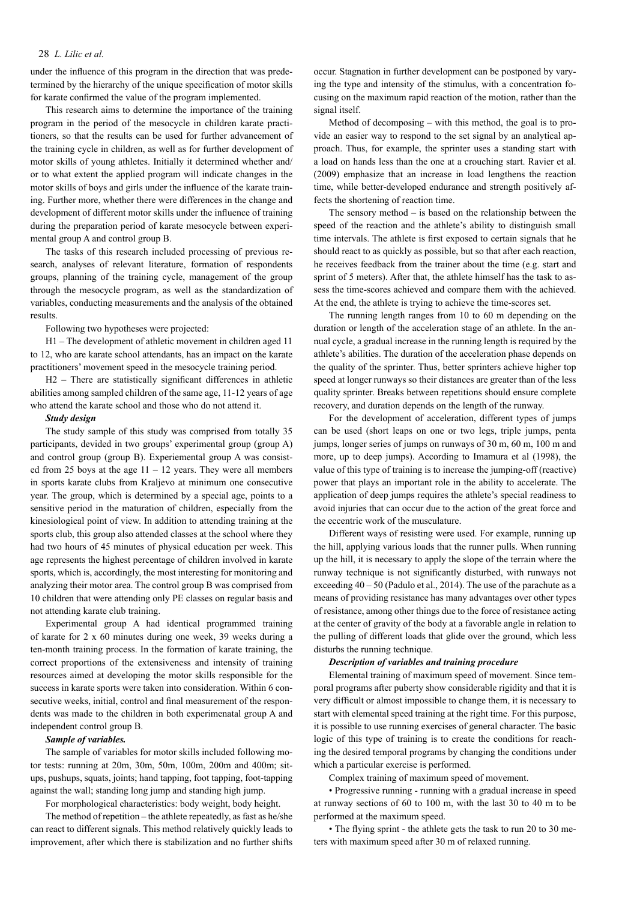#### 28 *L. Lilic et al.*

under the influence of this program in the direction that was predetermined by the hierarchy of the unique specification of motor skills for karate confirmed the value of the program implemented.

This research aims to determine the importance of the training program in the period of the mesocycle in children karate practitioners, so that the results can be used for further advancement of the training cycle in children, as well as for further development of motor skills of young athletes. Initially it determined whether and/ or to what extent the applied program will indicate changes in the motor skills of boys and girls under the influence of the karate training. Further more, whether there were differences in the change and development of different motor skills under the influence of training during the preparation period of karate mesocycle between experimental group A and control group B.

The tasks of this research included processing of previous research, analyses of relevant literature, formation of respondents groups, planning of the training cycle, management of the group through the mesocycle program, as well as the standardization of variables, conducting measurements and the analysis of the obtained results.

Following two hypotheses were projected:

H1 – The development of athletic movement in children aged 11 to 12, who are karate school attendants, has an impact on the karate practitioners' movement speed in the mesocycle training period.

H2 – There are statistically significant differences in athletic abilities among sampled children of the same age, 11-12 years of age who attend the karate school and those who do not attend it.

#### *Study design*

The study sample of this study was comprised from totally 35 participants, devided in two groups' experimental group (group A) and control group (group B). Experiemental group A was consisted from 25 boys at the age  $11 - 12$  years. They were all members in sports karate clubs from Kraljevo at minimum one consecutive year. The group, which is determined by a special age, points to a sensitive period in the maturation of children, especially from the kinesiological point of view. In addition to attending training at the sports club, this group also attended classes at the school where they had two hours of 45 minutes of physical education per week. This age represents the highest percentage of children involved in karate sports, which is, accordingly, the most interesting for monitoring and analyzing their motor area. The control group B was comprised from 10 children that were attending only PE classes on regular basis and not attending karate club training.

Experimental group A had identical programmed training of karate for 2 x 60 minutes during one week, 39 weeks during a ten-month training process. In the formation of karate training, the correct proportions of the extensiveness and intensity of training resources aimed at developing the motor skills responsible for the success in karate sports were taken into consideration. Within 6 consecutive weeks, initial, control and final measurement of the respondents was made to the children in both experimenatal group A and independent control group B.

#### *Sample of variables.*

The sample of variables for motor skills included following motor tests: running at 20m, 30m, 50m, 100m, 200m and 400m; situps, pushups, squats, joints; hand tapping, foot tapping, foot-tapping against the wall; standing long jump and standing high jump.

For morphological characteristics: body weight, body height.

The method of repetition – the athlete repeatedly, as fast as he/she can react to different signals. This method relatively quickly leads to improvement, after which there is stabilization and no further shifts occur. Stagnation in further development can be postponed by varying the type and intensity of the stimulus, with a concentration focusing on the maximum rapid reaction of the motion, rather than the signal itself.

Method of decomposing – with this method, the goal is to provide an easier way to respond to the set signal by an analytical approach. Thus, for example, the sprinter uses a standing start with a load on hands less than the one at a crouching start. Ravier et al. (2009) emphasize that an increase in load lengthens the reaction time, while better-developed endurance and strength positively affects the shortening of reaction time.

The sensory method – is based on the relationship between the speed of the reaction and the athlete's ability to distinguish small time intervals. The athlete is first exposed to certain signals that he should react to as quickly as possible, but so that after each reaction, he receives feedback from the trainer about the time (e.g. start and sprint of 5 meters). After that, the athlete himself has the task to assess the time-scores achieved and compare them with the achieved. At the end, the athlete is trying to achieve the time-scores set.

The running length ranges from 10 to 60 m depending on the duration or length of the acceleration stage of an athlete. In the annual cycle, a gradual increase in the running length is required by the athlete's abilities. The duration of the acceleration phase depends on the quality of the sprinter. Thus, better sprinters achieve higher top speed at longer runways so their distances are greater than of the less quality sprinter. Breaks between repetitions should ensure complete recovery, and duration depends on the length of the runway.

For the development of acceleration, different types of jumps can be used (short leaps on one or two legs, triple jumps, penta jumps, longer series of jumps on runways of 30 m, 60 m, 100 m and more, up to deep jumps). According to Imamura et al (1998), the value of this type of training is to increase the jumping-off (reactive) power that plays an important role in the ability to accelerate. The application of deep jumps requires the athlete's special readiness to avoid injuries that can occur due to the action of the great force and the eccentric work of the musculature.

Different ways of resisting were used. For example, running up the hill, applying various loads that the runner pulls. When running up the hill, it is necessary to apply the slope of the terrain where the runway technique is not significantly disturbed, with runways not exceeding 40 – 50 (Padulo et al., 2014). The use of the parachute as a means of providing resistance has many advantages over other types of resistance, among other things due to the force of resistance acting at the center of gravity of the body at a favorable angle in relation to the pulling of different loads that glide over the ground, which less disturbs the running technique.

#### *Description of variables and training procedure*

Elemental training of maximum speed of movement. Since temporal programs after puberty show considerable rigidity and that it is very difficult or almost impossible to change them, it is necessary to start with elemental speed training at the right time. For this purpose, it is possible to use running exercises of general character. The basic logic of this type of training is to create the conditions for reaching the desired temporal programs by changing the conditions under which a particular exercise is performed.

Complex training of maximum speed of movement.

• Progressive running - running with a gradual increase in speed at runway sections of 60 to 100 m, with the last 30 to 40 m to be performed at the maximum speed.

• The flying sprint - the athlete gets the task to run 20 to 30 meters with maximum speed after 30 m of relaxed running.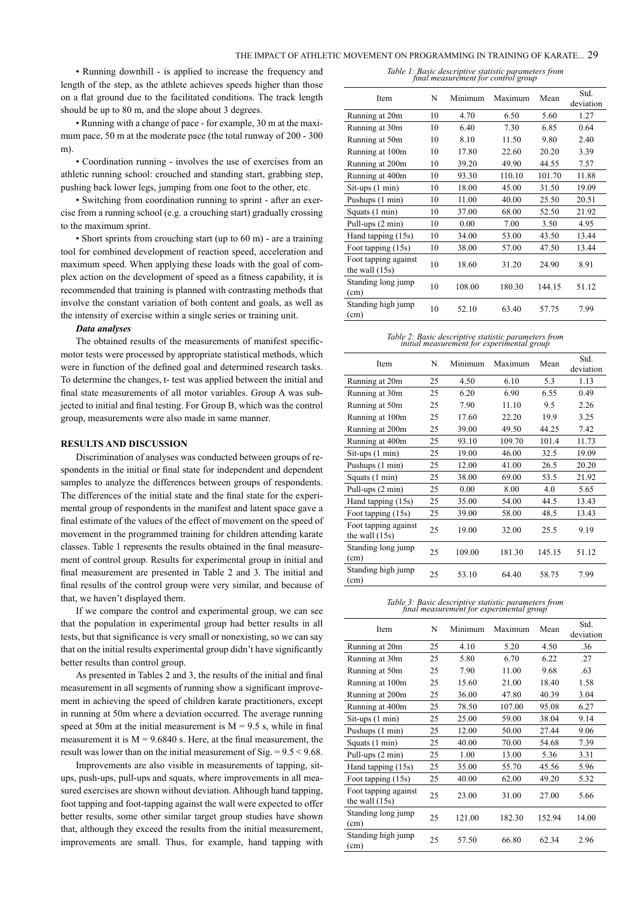• Running downhill - is applied to increase the frequency and length of the step, as the athlete achieves speeds higher than those on a flat ground due to the facilitated conditions. The track length should be up to 80 m, and the slope about 3 degrees.

• Running with a change of pace - for example, 30 m at the maximum pace, 50 m at the moderate pace (the total runway of 200 - 300 m)

• Coordination running - involves the use of exercises from an athletic running school: crouched and standing start, grabbing step, pushing back lower legs, jumping from one foot to the other, etc.

• Switching from coordination running to sprint - after an exercise from a running school (e.g. a crouching start) gradually crossing to the maximum sprint.

• Short sprints from crouching start (up to 60 m) - are a training tool for combined development of reaction speed, acceleration and maximum speed. When applying these loads with the goal of complex action on the development of speed as a fitness capability, it is recommended that training is planned with contrasting methods that involve the constant variation of both content and goals, as well as the intensity of exercise within a single series or training unit.

#### *Data analyses*

The obtained results of the measurements of manifest specificmotor tests were processed by appropriate statistical methods, which were in function of the defined goal and determined research tasks. To determine the changes, t- test was applied between the initial and final state measurements of all motor variables. Group A was subjected to initial and final testing. For Group B, which was the control group, measurements were also made in same manner.

#### **RESULTS AND DISCUSSION**

Discrimination of analyses was conducted between groups of respondents in the initial or final state for independent and dependent samples to analyze the differences between groups of respondents. The differences of the initial state and the final state for the experimental group of respondents in the manifest and latent space gave a final estimate of the values of the effect of movement on the speed of movement in the programmed training for children attending karate classes. Table 1 represents the results obtained in the final measurement of control group. Results for experimental group in initial and final measurement are presented in Table 2 and 3. The initial and final results of the control group were very similar, and because of that, we haven't displayed them.

If we compare the control and experimental group, we can see that the population in experimental group had better results in all tests, but that significance is very small or nonexisting, so we can say that on the initial results experimental group didn't have significantly better results than control group.

As presented in Tables 2 and 3, the results of the initial and final measurement in all segments of running show a significant improvement in achieving the speed of children karate practitioners, except in running at 50m where a deviation occurred. The average running speed at 50m at the initial measurement is  $M = 9.5$  s, while in final measurement it is  $M = 9.6840$  s. Here, at the final measurement, the result was lower than on the initial measurement of Sig. = 9.5 < 9.68.

Improvements are also visible in measurements of tapping, situps, push-ups, pull-ups and squats, where improvements in all measured exercises are shown without deviation. Although hand tapping, foot tapping and foot-tapping against the wall were expected to offer better results, some other similar target group studies have shown that, although they exceed the results from the initial measurement, improvements are small. Thus, for example, hand tapping with

*Table 1: Basic descriptive statistic parameters from final measurement for control group*

| Item                                     | N  | Minimum | Maximum | Mean   | Std.<br>deviation |
|------------------------------------------|----|---------|---------|--------|-------------------|
| Running at 20m                           | 10 | 4.70    | 6.50    | 5.60   | 1.27              |
| Running at 30m                           | 10 | 6.40    | 7.30    | 6.85   | 0.64              |
| Running at 50m                           | 10 | 8.10    | 11.50   | 9.80   | 2.40              |
| Running at 100m                          | 10 | 17.80   | 22.60   | 20.20  | 3.39              |
| Running at 200m                          | 10 | 39.20   | 49.90   | 44.55  | 7.57              |
| Running at 400m                          | 10 | 93.30   | 110.10  | 101.70 | 11.88             |
| $Sit-ups(1 min)$                         | 10 | 18.00   | 45.00   | 31.50  | 19.09             |
| Pushups (1 min)                          | 10 | 11.00   | 40.00   | 25.50  | 20.51             |
| Squats (1 min)                           | 10 | 37.00   | 68.00   | 52.50  | 21.92             |
| Pull-ups (2 min)                         | 10 | 0.00    | 7.00    | 3.50   | 4.95              |
| Hand tapping (15s)                       | 10 | 34.00   | 53.00   | 43.50  | 13.44             |
| Foot tapping (15s)                       | 10 | 38.00   | 57.00   | 47.50  | 13.44             |
| Foot tapping against<br>the wall $(15s)$ | 10 | 18.60   | 31.20   | 24.90  | 8.91              |
| Standing long jump<br>(cm)               | 10 | 108.00  | 180.30  | 144.15 | 51.12             |
| Standing high jump<br>(cm)               | 10 | 52.10   | 63.40   | 57.75  | 7.99              |

# *Table 2: Basic descriptive statistic parameters from initial measurement for experimental group*

| Item                                     | N  | Minimum | Maximum | Mean   | Std.<br>deviation |
|------------------------------------------|----|---------|---------|--------|-------------------|
| Running at 20m                           | 25 | 4.50    | 6.10    | 5.3    | 1.13              |
| Running at 30m                           | 25 | 6.20    | 6.90    | 6.55   | 0.49              |
| Running at 50m                           | 25 | 7.90    | 11.10   | 9.5    | 2.26              |
| Running at 100m                          | 25 | 17.60   | 22.20   | 19.9   | 3.25              |
| Running at 200m                          | 25 | 39.00   | 49.50   | 44.25  | 7.42              |
| Running at 400m                          | 25 | 93.10   | 109.70  | 101.4  | 11.73             |
| $Sit-ups(1 min)$                         | 25 | 19.00   | 46.00   | 32.5   | 19.09             |
| Pushups (1 min)                          | 25 | 12.00   | 41.00   | 26.5   | 20.20             |
| Squats (1 min)                           | 25 | 38.00   | 69.00   | 53.5   | 21.92             |
| Pull-ups (2 min)                         | 25 | 0.00    | 8.00    | 4.0    | 5.65              |
| Hand tapping (15s)                       | 25 | 35.00   | 54.00   | 44.5   | 13.43             |
| Foot tapping (15s)                       | 25 | 39.00   | 58.00   | 48.5   | 13.43             |
| Foot tapping against<br>the wall $(15s)$ | 25 | 19.00   | 32.00   | 25.5   | 9.19              |
| Standing long jump<br>(cm)               | 25 | 109.00  | 181.30  | 145.15 | 51.12             |
| Standing high jump<br>(cm)               | 25 | 53.10   | 64.40   | 58.75  | 7.99              |

*Table 3: Basic descriptive statistic parameters from final measurement for experimental group*

| Item                                     | N  | Minimum | Maximum | Mean   | Std.<br>deviation |
|------------------------------------------|----|---------|---------|--------|-------------------|
| Running at 20m                           | 25 | 4.10    | 5.20    | 4.50   | .36               |
| Running at 30m                           | 25 | 5.80    | 6.70    | 6.22   | .27               |
| Running at 50m                           | 25 | 7.90    | 11.00   | 9.68   | .63               |
| Running at 100m                          | 25 | 15.60   | 21.00   | 18.40  | 1.58              |
| Running at 200m                          | 25 | 36.00   | 47.80   | 40.39  | 3.04              |
| Running at 400m                          | 25 | 78.50   | 107.00  | 95.08  | 6.27              |
| $Sit-ups(1 min)$                         | 25 | 25.00   | 59.00   | 38.04  | 9.14              |
| Pushups (1 min)                          | 25 | 12.00   | 50.00   | 27.44  | 9.06              |
| Squats (1 min)                           | 25 | 40.00   | 70.00   | 54.68  | 7.39              |
| Pull-ups (2 min)                         | 25 | 1.00    | 13.00   | 5.36   | 3.31              |
| Hand tapping (15s)                       | 25 | 35.00   | 55.70   | 45.56  | 5.96              |
| Foot tapping (15s)                       | 25 | 40.00   | 62.00   | 49.20  | 5.32              |
| Foot tapping against<br>the wall $(15s)$ | 25 | 23.00   | 31.00   | 27.00  | 5.66              |
| Standing long jump<br>(cm)               | 25 | 121.00  | 182.30  | 152.94 | 14.00             |
| Standing high jump<br>(cm)               | 25 | 57.50   | 66.80   | 62.34  | 2.96              |